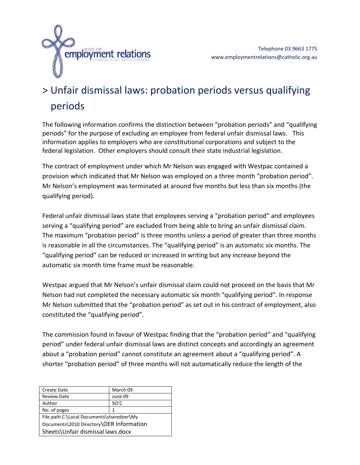

## > Unfair dismissal laws: probation periods versus qualifying periods

The following information confirms the distinction between "probation periods" and "qualifying periods" for the purpose of excluding an employee from federal unfair dismissal laws. This information applies to employers who are constitutional corporations and subject to the federal legislation. Other employers should consult their state industrial legislation.

The contract of employment under which Mr Nelson was engaged with Westpac contained a provision which indicated that Mr Nelson was employed on a three month "probation period". Mr Nelson's employment was terminated at around five months but less than six months (the qualifying period).

Federal unfair dismissal laws state that employees serving a "probation period" and employees serving a "qualifying period" are excluded from being able to bring an unfair dismissal claim. The maximum "probation period" is three months unless a period of greater than three months is reasonable in all the circumstances. The "qualifying period" is an automatic six months. The "qualifying period" can be reduced or increased in writing but any increase beyond the automatic six month time frame must be reasonable.

Westpac argued that Mr Nelson's unfair dismissal claim could not proceed on the basis that Mr Nelson had not completed the necessary automatic six month "qualifying period". In response Mr Nelson submitted that the "probation period" as set out in his contract of employment, also constituted the "qualifying period".

The commission found in favour of Westpac finding that the "probation period" and "qualifying period" under federal unfair dismissal laws are distinct concepts and accordingly an agreement about a "probation period" cannot constitute an agreement about a "qualifying period". A shorter "probation period" of three months will not automatically reduce the length of the

| <b>Create Date</b>                        | March 09 |
|-------------------------------------------|----------|
| <b>Review Date</b>                        | June 09  |
| Author                                    | SO'C     |
| No. of pages                              | 1        |
| File path C:\Local Documents\sharedoer\My |          |
| Documents\2010 Directory\OER Information  |          |
| Sheets\Unfair dismissal laws.docx         |          |